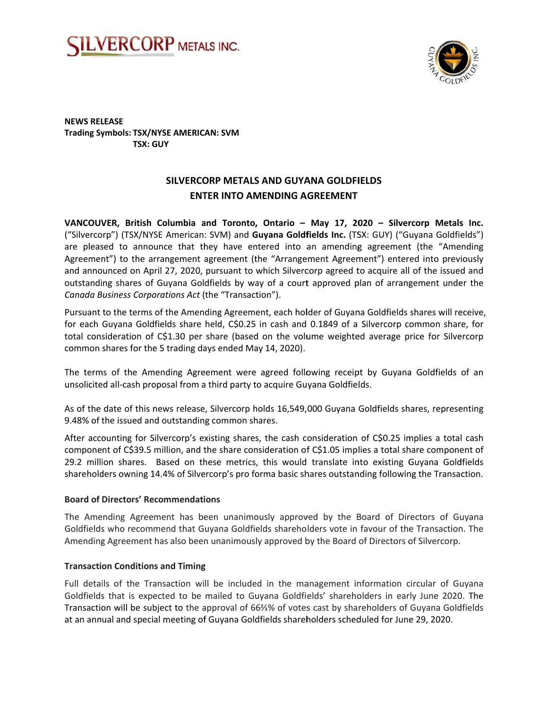



**NEWS RELEASE Trading Symbols: TSX/NYSE AMERICAN: SVM TSX: GUY** 

# SILVERCORP METALS AND GUYANA GOLDFIELDS **ENTER INTO AMENDING AGREEMENT**

VANCOUVER, British Columbia and Toronto, Ontario - May 17, 2020 - Silvercorp Metals Inc. ("Silvercorp") (TSX/NYSE American: SVM) and Guyana Goldfields Inc. (TSX: GUY) ("Guyana Goldfields") are pleased to announce that they have entered into an amending agreement (the "Amending Agreement") to the arrangement agreement (the "Arrangement Agreement") entered into previously and announced on April 27, 2020, pursuant to which Silvercorp agreed to acquire all of the issued and outstanding shares of Guyana Goldfields by way of a court approved plan of arrangement under the Canada Business Corporations Act (the "Transaction").

Pursuant to the terms of the Amending Agreement, each holder of Guyana Goldfields shares will receive, for each Guyana Goldfields share held, C\$0.25 in cash and 0.1849 of a Silvercorp common share, for total consideration of C\$1.30 per share (based on the volume weighted average price for Silvercorp common shares for the 5 trading days ended May 14, 2020).

The terms of the Amending Agreement were agreed following receipt by Guyana Goldfields of an unsolicited all-cash proposal from a third party to acquire Guyana Goldfields.

As of the date of this news release, Silvercorp holds 16,549,000 Guyana Goldfields shares, representing 9.48% of the issued and outstanding common shares.

After accounting for Silvercorp's existing shares, the cash consideration of C\$0.25 implies a total cash component of C\$39.5 million, and the share consideration of C\$1.05 implies a total share component of 29.2 million shares. Based on these metrics, this would translate into existing Guyana Goldfields shareholders owning 14.4% of Silvercorp's pro forma basic shares outstanding following the Transaction.

## **Board of Directors' Recommendations**

The Amending Agreement has been unanimously approved by the Board of Directors of Guyana Goldfields who recommend that Guyana Goldfields shareholders vote in favour of the Transaction. The Amending Agreement has also been unanimously approved by the Board of Directors of Silvercorp.

## **Transaction Conditions and Timing**

Full details of the Transaction will be included in the management information circular of Guyana Goldfields that is expected to be mailed to Guyana Goldfields' shareholders in early June 2020. The Transaction will be subject to the approval of 66%% of votes cast by shareholders of Guyana Goldfields at an annual and special meeting of Guyana Goldfields shareholders scheduled for June 29, 2020.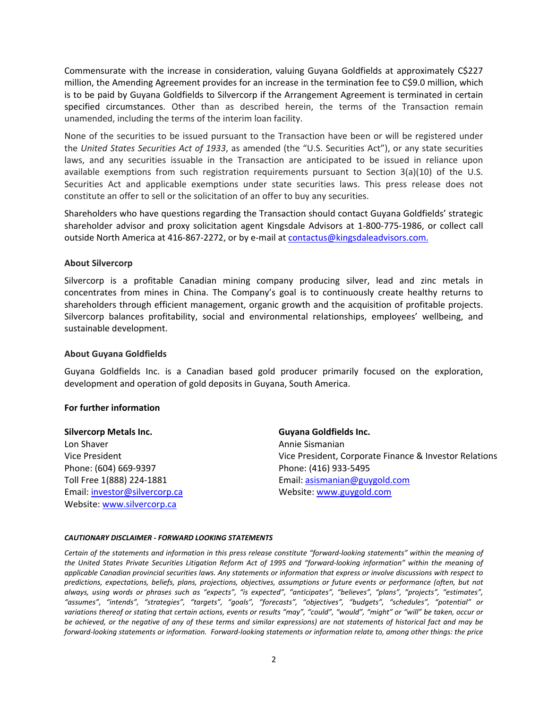Commensurate with the increase in consideration, valuing Guyana Goldfields at approximately C\$227 million, the Amending Agreement provides for an increase in the termination fee to C\$9.0 million, which is to be paid by Guyana Goldfields to Silvercorp if the Arrangement Agreement is terminated in certain specified circumstances. Other than as described herein, the terms of the Transaction remain unamended, including the terms of the interim loan facility.

None of the securities to be issued pursuant to the Transaction have been or will be registered under the *United States Securities Act of 1933*, as amended (the "U.S. Securities Act"), or any state securities laws, and any securities issuable in the Transaction are anticipated to be issued in reliance upon available exemptions from such registration requirements pursuant to Section  $3(a)(10)$  of the U.S. Securities Act and applicable exemptions under state securities laws. This press release does not constitute an offer to sell or the solicitation of an offer to buy any securities.

Shareholders who have questions regarding the Transaction should contact Guyana Goldfields' strategic shareholder advisor and proxy solicitation agent Kingsdale Advisors at 1‐800‐775‐1986, or collect call outside North America at 416-867-2272, or by e-mail at contactus@kingsdaleadvisors.com.

## **About Silvercorp**

Silvercorp is a profitable Canadian mining company producing silver, lead and zinc metals in concentrates from mines in China. The Company's goal is to continuously create healthy returns to shareholders through efficient management, organic growth and the acquisition of profitable projects. Silvercorp balances profitability, social and environmental relationships, employees' wellbeing, and sustainable development.

#### **About Guyana Goldfields**

Guyana Goldfields Inc. is a Canadian based gold producer primarily focused on the exploration, development and operation of gold deposits in Guyana, South America.

### **For further information**

## **Silvercorp Metals Inc.**

Lon Shaver Vice President Phone: (604) 669‐9397 Toll Free 1(888) 224‐1881 Email: investor@silvercorp.ca Website: www.silvercorp.ca

## **Guyana Goldfields Inc.**

Annie Sismanian Vice President, Corporate Finance & Investor Relations Phone: (416) 933‐5495 Email: asismanian@guygold.com Website: www.guygold.com

#### *CAUTIONARY DISCLAIMER ‐ FORWARD LOOKING STATEMENTS*

*Certain of the statements and information in this press release constitute "forward‐looking statements" within the meaning of the United States Private Securities Litigation Reform Act of 1995 and "forward‐looking information" within the meaning of applicable Canadian provincial securities laws. Any statements or information that express or involve discussions with respect to predictions, expectations, beliefs, plans, projections, objectives, assumptions or future events or performance (often, but not always, using words or phrases such as "expects", "is expected", "anticipates", "believes", "plans", "projects", "estimates", "assumes", "intends", "strategies", "targets", "goals", "forecasts", "objectives", "budgets", "schedules", "potential" or variations thereof or stating that certain actions, events or results "may", "could", "would", "might" or "will" be taken, occur or be achieved, or the negative of any of these terms and similar expressions) are not statements of historical fact and may be forward‐looking statements or information. Forward‐looking statements or information relate to, among other things: the price*